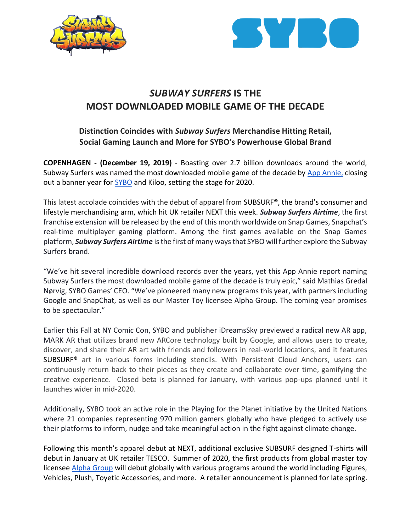



# *SUBWAY SURFERS* **IS THE MOST DOWNLOADED MOBILE GAME OF THE DECADE**

## **Distinction Coincides with** *Subway Surfers* **Merchandise Hitting Retail, Social Gaming Launch and More for SYBO's Powerhouse Global Brand**

**COPENHAGEN - (December 19, 2019)** - Boasting over 2.7 billion downloads around the world, Subway Surfers was named the most downloaded mobile game of the decade by [App Annie,](https://www.appannie.com/en/insights/market-data/a-look-back-at-the-top-apps-games-of-the-decade/) closing out a banner year for [SYBO](https://sybogames.com/) and Kiloo, setting the stage for 2020.

This latest accolade coincides with the debut of apparel from SUBSURF**®**, the brand's consumer and lifestyle merchandising arm, which hit UK retailer NEXT this week. *Subway Surfers Airtime*, the first franchise extension will be released by the end of this month worldwide on Snap Games, Snapchat's real-time multiplayer gaming platform. Among the first games available on the Snap Games platform, *Subway Surfers Airtime* is the first of many ways that SYBO will further explore the Subway Surfers brand.

"We've hit several incredible download records over the years, yet this App Annie report naming Subway Surfers the most downloaded mobile game of the decade is truly epic," said Mathias Gredal Nørvig, SYBO Games' CEO. "We've pioneered many new programs this year, with partners including Google and SnapChat, as well as our Master Toy licensee Alpha Group. The coming year promises to be spectacular."

Earlier this Fall at NY Comic Con, SYBO and publisher iDreamsSky previewed a radical new AR app, MARK AR that utilizes brand new ARCore technology built by Google, and allows users to create, discover, and share their AR art with friends and followers in real-world locations, and it features SUBSURF**®** art in various forms including stencils. With Persistent Cloud Anchors, users can continuously return back to their pieces as they create and collaborate over time, gamifying the creative experience. Closed beta is planned for January, with various pop-ups planned until it launches wider in mid-2020.

Additionally, SYBO took an active role in the Playing for the Planet initiative by the United Nations where 21 companies representing 970 million gamers globally who have pledged to actively use their platforms to inform, nudge and take meaningful action in the fight against climate change.

Following this month's apparel debut at NEXT, additional exclusive SUBSURF designed T-shirts will debut in January at UK retailer TESCO. Summer of 2020, the first products from global master toy licensee [Alpha Group](http://www.alphatoys.com/) will debut globally with various programs around the world including Figures, Vehicles, Plush, Toyetic Accessories, and more. A retailer announcement is planned for late spring.